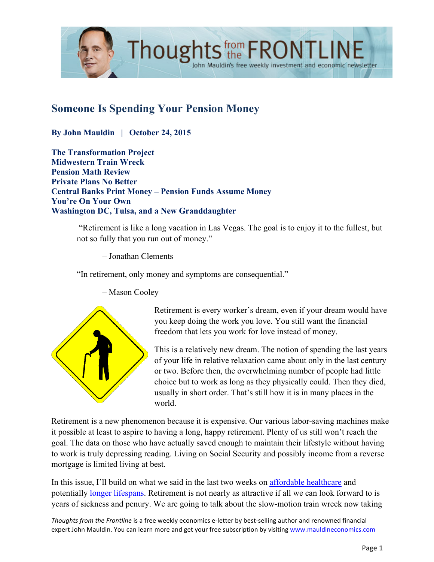

# **Someone Is Spending Your Pension Money**

**By John Mauldin | October 24, 2015**

**The Transformation Project Midwestern Train Wreck Pension Math Review Private Plans No Better Central Banks Print Money – Pension Funds Assume Money You're On Your Own Washington DC, Tulsa, and a New Granddaughter**

> "Retirement is like a long vacation in Las Vegas. The goal is to enjoy it to the fullest, but not so fully that you run out of money."

– Jonathan Clements

"In retirement, only money and symptoms are consequential."



– Mason Cooley

Retirement is every worker's dream, even if your dream would have you keep doing the work you love. You still want the financial freedom that lets you work for love instead of money.

This is a relatively new dream. The notion of spending the last years of your life in relative relaxation came about only in the last century or two. Before then, the overwhelming number of people had little choice but to work as long as they physically could. Then they died, usually in short order. That's still how it is in many places in the world.

Retirement is a new phenomenon because it is expensive. Our various labor-saving machines make it possible at least to aspire to having a long, happy retirement. Plenty of us still won't reach the goal. The data on those who have actually saved enough to maintain their lifestyle without having to work is truly depressing reading. Living on Social Security and possibly income from a reverse mortgage is limited living at best.

In this issue, I'll build on what we said in the last two weeks on [affordable healthcare](http://www.mauldineconomics.com/frontlinethoughts/unhealthy-not-wealthy-and-far-from-wise) and potentially [longer lifespans.](http://www.mauldineconomics.com/frontlinethoughts/the-age-age) Retirement is not nearly as attractive if all we can look forward to is years of sickness and penury. We are going to talk about the slow-motion train wreck now taking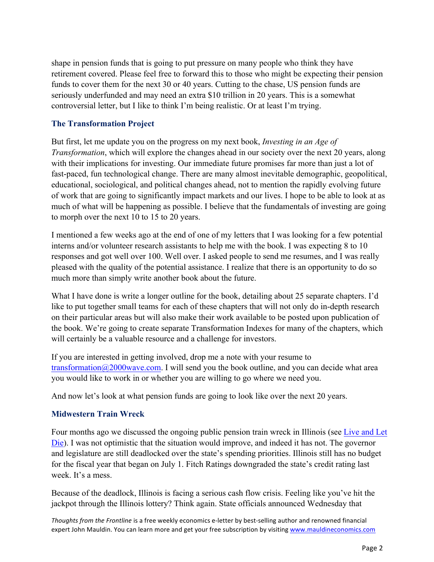shape in pension funds that is going to put pressure on many people who think they have retirement covered. Please feel free to forward this to those who might be expecting their pension funds to cover them for the next 30 or 40 years. Cutting to the chase, US pension funds are seriously underfunded and may need an extra \$10 trillion in 20 years. This is a somewhat controversial letter, but I like to think I'm being realistic. Or at least I'm trying.

### **The Transformation Project**

But first, let me update you on the progress on my next book, *Investing in an Age of Transformation*, which will explore the changes ahead in our society over the next 20 years, along with their implications for investing. Our immediate future promises far more than just a lot of fast-paced, fun technological change. There are many almost inevitable demographic, geopolitical, educational, sociological, and political changes ahead, not to mention the rapidly evolving future of work that are going to significantly impact markets and our lives. I hope to be able to look at as much of what will be happening as possible. I believe that the fundamentals of investing are going to morph over the next 10 to 15 to 20 years.

I mentioned a few weeks ago at the end of one of my letters that I was looking for a few potential interns and/or volunteer research assistants to help me with the book. I was expecting 8 to 10 responses and got well over 100. Well over. I asked people to send me resumes, and I was really pleased with the quality of the potential assistance. I realize that there is an opportunity to do so much more than simply write another book about the future.

What I have done is write a longer outline for the book, detailing about 25 separate chapters. I'd like to put together small teams for each of these chapters that will not only do in-depth research on their particular areas but will also make their work available to be posted upon publication of the book. We're going to create separate Transformation Indexes for many of the chapters, which will certainly be a valuable resource and a challenge for investors.

If you are interested in getting involved, drop me a note with your resume to transformation $\omega$ 2000wave.com. I will send you the book outline, and you can decide what area you would like to work in or whether you are willing to go where we need you.

And now let's look at what pension funds are going to look like over the next 20 years.

### **Midwestern Train Wreck**

[Four months ago we discussed the ongoing public pension train wreck in Illinois \(see Live and Let](http://www.mauldineconomics.com/frontlinethoughts/public-pensions-live-and-let-die)  Die). I was not optimistic that the situation would improve, and indeed it has not. The governor and legislature are still deadlocked over the state's spending priorities. Illinois still has no budget for the fiscal year that began on July 1. Fitch Ratings downgraded the state's credit rating last week. It's a mess.

Because of the deadlock, Illinois is facing a serious cash flow crisis. Feeling like you've hit the jackpot through the Illinois lottery? Think again. State officials announced Wednesday that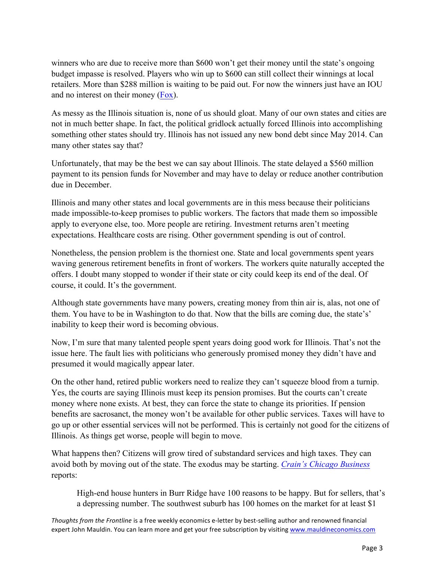winners who are due to receive more than \$600 won't get their money until the state's ongoing budget impasse is resolved. Players who win up to \$600 can still collect their winnings at local retailers. More than \$288 million is waiting to be paid out. For now the winners just have an IOU and no interest on their money [\(Fox\).](http://www.foxnews.com/politics/2015/10/15/unlucky-winners-illinois-lottery-halts-payouts-over-600/)

As messy as the Illinois situation is, none of us should gloat. Many of our own states and cities are not in much better shape. In fact, the political gridlock actually forced Illinois into accomplishing something other states should try. Illinois has not issued any new bond debt since May 2014. Can many other states say that?

Unfortunately, that may be the best we can say about Illinois. The state delayed a \$560 million payment to its pension funds for November and may have to delay or reduce another contribution due in December.

Illinois and many other states and local governments are in this mess because their politicians made impossible-to-keep promises to public workers. The factors that made them so impossible apply to everyone else, too. More people are retiring. Investment returns aren't meeting expectations. Healthcare costs are rising. Other government spending is out of control.

Nonetheless, the pension problem is the thorniest one. State and local governments spent years waving generous retirement benefits in front of workers. The workers quite naturally accepted the offers. I doubt many stopped to wonder if their state or city could keep its end of the deal. Of course, it could. It's the government.

Although state governments have many powers, creating money from thin air is, alas, not one of them. You have to be in Washington to do that. Now that the bills are coming due, the state's' inability to keep their word is becoming obvious.

Now, I'm sure that many talented people spent years doing good work for Illinois. That's not the issue here. The fault lies with politicians who generously promised money they didn't have and presumed it would magically appear later.

On the other hand, retired public workers need to realize they can't squeeze blood from a turnip. Yes, the courts are saying Illinois must keep its pension promises. But the courts can't create money where none exists. At best, they can force the state to change its priorities. If pension benefits are sacrosanct, the money won't be available for other public services. Taxes will have to go up or other essential services will not be performed. This is certainly not good for the citizens of Illinois. As things get worse, people will begin to move.

What happens then? Citizens will grow tired of substandard services and high taxes. They can avoid both by moving out of the state. The exodus may be starting. *[Crain's Chicago Business](http://www.chicagobusiness.com/realestate/20151006/CRED0701/150929932/this-suburb-has-too-many-1-million-plus-homes-for-sale#utm_medium=email&utm_source=ccb-dailyalert&utm_campaign=ccb-dailyalert-20151006)* reports:

High-end house hunters in Burr Ridge have 100 reasons to be happy. But for sellers, that's a depressing number. The southwest suburb has 100 homes on the market for at least \$1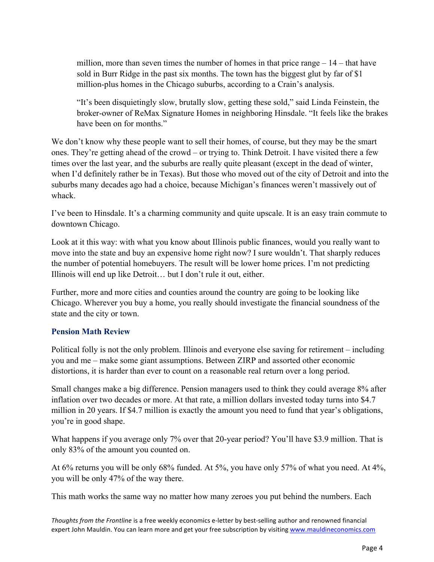million, more than seven times the number of homes in that price range  $-14$  – that have sold in Burr Ridge in the past six months. The town has the biggest glut by far of \$1 million-plus homes in the Chicago suburbs, according to a Crain's analysis.

"It's been disquietingly slow, brutally slow, getting these sold," said Linda Feinstein, the broker-owner of ReMax Signature Homes in neighboring Hinsdale. "It feels like the brakes have been on for months."

We don't know why these people want to sell their homes, of course, but they may be the smart ones. They're getting ahead of the crowd – or trying to. Think Detroit. I have visited there a few times over the last year, and the suburbs are really quite pleasant (except in the dead of winter, when I'd definitely rather be in Texas). But those who moved out of the city of Detroit and into the suburbs many decades ago had a choice, because Michigan's finances weren't massively out of whack.

I've been to Hinsdale. It's a charming community and quite upscale. It is an easy train commute to downtown Chicago.

Look at it this way: with what you know about Illinois public finances, would you really want to move into the state and buy an expensive home right now? I sure wouldn't. That sharply reduces the number of potential homebuyers. The result will be lower home prices. I'm not predicting Illinois will end up like Detroit… but I don't rule it out, either.

Further, more and more cities and counties around the country are going to be looking like Chicago. Wherever you buy a home, you really should investigate the financial soundness of the state and the city or town.

### **Pension Math Review**

Political folly is not the only problem. Illinois and everyone else saving for retirement – including you and me – make some giant assumptions. Between ZIRP and assorted other economic distortions, it is harder than ever to count on a reasonable real return over a long period.

Small changes make a big difference. Pension managers used to think they could average 8% after inflation over two decades or more. At that rate, a million dollars invested today turns into \$4.7 million in 20 years. If \$4.7 million is exactly the amount you need to fund that year's obligations, you're in good shape.

What happens if you average only 7% over that 20-year period? You'll have \$3.9 million. That is only 83% of the amount you counted on.

At 6% returns you will be only 68% funded. At 5%, you have only 57% of what you need. At 4%, you will be only 47% of the way there.

This math works the same way no matter how many zeroes you put behind the numbers. Each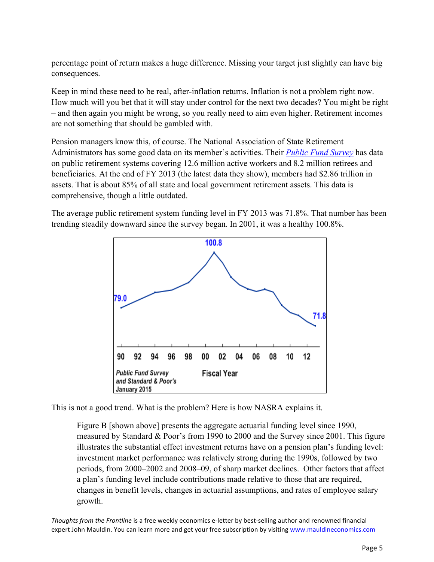percentage point of return makes a huge difference. Missing your target just slightly can have big consequences.

Keep in mind these need to be real, after-inflation returns. Inflation is not a problem right now. How much will you bet that it will stay under control for the next two decades? You might be right – and then again you might be wrong, so you really need to aim even higher. Retirement incomes are not something that should be gambled with.

Pension managers know this, of course. The National Association of State Retirement Administrators has some good data on its member's activities. Their *[Public Fund Survey](http://www.publicfundsurvey.org/publicfundsurvey/summaryoffindings.html)* has data on public retirement systems covering 12.6 million active workers and 8.2 million retirees and beneficiaries. At the end of FY 2013 (the latest data they show), members had \$2.86 trillion in assets. That is about 85% of all state and local government retirement assets. This data is comprehensive, though a little outdated.

The average public retirement system funding level in FY 2013 was 71.8%. That number has been trending steadily downward since the survey began. In 2001, it was a healthy 100.8%.



This is not a good trend. What is the problem? Here is how NASRA explains it.

Figure B [shown above] presents the aggregate actuarial funding level since 1990, measured by Standard & Poor's from 1990 to 2000 and the Survey since 2001. This figure illustrates the substantial effect investment returns have on a pension plan's funding level: investment market performance was relatively strong during the 1990s, followed by two periods, from 2000–2002 and 2008–09, of sharp market declines. Other factors that affect a plan's funding level include contributions made relative to those that are required, changes in benefit levels, changes in actuarial assumptions, and rates of employee salary growth.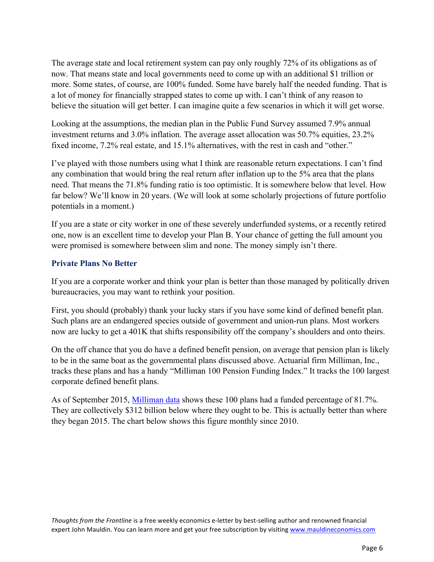The average state and local retirement system can pay only roughly 72% of its obligations as of now. That means state and local governments need to come up with an additional \$1 trillion or more. Some states, of course, are 100% funded. Some have barely half the needed funding. That is a lot of money for financially strapped states to come up with. I can't think of any reason to believe the situation will get better. I can imagine quite a few scenarios in which it will get worse.

Looking at the assumptions, the median plan in the Public Fund Survey assumed 7.9% annual investment returns and 3.0% inflation. The average asset allocation was 50.7% equities, 23.2% fixed income, 7.2% real estate, and 15.1% alternatives, with the rest in cash and "other."

I've played with those numbers using what I think are reasonable return expectations. I can't find any combination that would bring the real return after inflation up to the 5% area that the plans need. That means the 71.8% funding ratio is too optimistic. It is somewhere below that level. How far below? We'll know in 20 years. (We will look at some scholarly projections of future portfolio potentials in a moment.)

If you are a state or city worker in one of these severely underfunded systems, or a recently retired one, now is an excellent time to develop your Plan B. Your chance of getting the full amount you were promised is somewhere between slim and none. The money simply isn't there.

## **Private Plans No Better**

If you are a corporate worker and think your plan is better than those managed by politically driven bureaucracies, you may want to rethink your position.

First, you should (probably) thank your lucky stars if you have some kind of defined benefit plan. Such plans are an endangered species outside of government and union-run plans. Most workers now are lucky to get a 401K that shifts responsibility off the company's shoulders and onto theirs.

On the off chance that you do have a defined benefit pension, on average that pension plan is likely to be in the same boat as the governmental plans discussed above. Actuarial firm Milliman, Inc., tracks these plans and has a handy "Milliman 100 Pension Funding Index." It tracks the 100 largest corporate defined benefit plans.

As of September 2015, [Milliman data](http://us.milliman.com/uploadedFiles/insight/Periodicals/pension-funding-index/pfi-10-08-15.pdf) shows these 100 plans had a funded percentage of 81.7%. They are collectively \$312 billion below where they ought to be. This is actually better than where they began 2015. The chart below shows this figure monthly since 2010.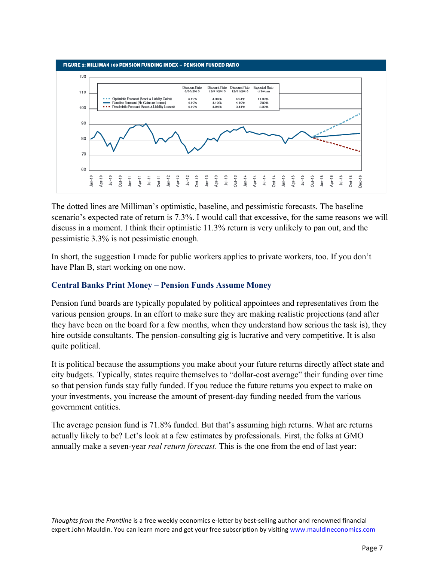

The dotted lines are Milliman's optimistic, baseline, and pessimistic forecasts. The baseline scenario's expected rate of return is 7.3%. I would call that excessive, for the same reasons we will discuss in a moment. I think their optimistic 11.3% return is very unlikely to pan out, and the pessimistic 3.3% is not pessimistic enough.

In short, the suggestion I made for public workers applies to private workers, too. If you don't have Plan B, start working on one now.

## **Central Banks Print Money – Pension Funds Assume Money**

Pension fund boards are typically populated by political appointees and representatives from the various pension groups. In an effort to make sure they are making realistic projections (and after they have been on the board for a few months, when they understand how serious the task is), they hire outside consultants. The pension-consulting gig is lucrative and very competitive. It is also quite political.

It is political because the assumptions you make about your future returns directly affect state and city budgets. Typically, states require themselves to "dollar-cost average" their funding over time so that pension funds stay fully funded. If you reduce the future returns you expect to make on your investments, you increase the amount of present-day funding needed from the various government entities.

The average pension fund is 71.8% funded. But that's assuming high returns. What are returns actually likely to be? Let's look at a few estimates by professionals. First, the folks at GMO annually make a seven-year *real return forecast*. This is the one from the end of last year: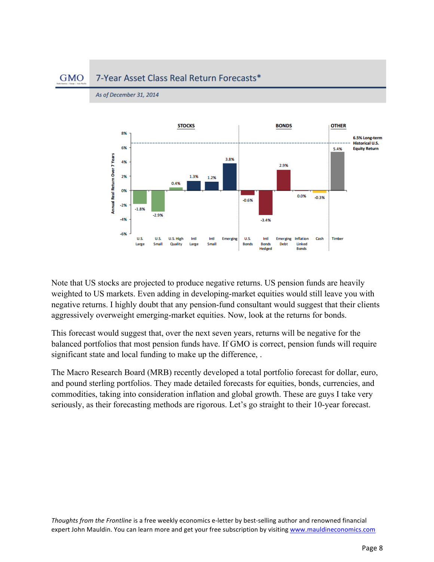#### **GMO** 7-Year Asset Class Real Return Forecasts\*



As of December 31, 2014

Note that US stocks are projected to produce negative returns. US pension funds are heavily weighted to US markets. Even adding in developing-market equities would still leave you with negative returns. I highly doubt that any pension-fund consultant would suggest that their clients aggressively overweight emerging-market equities. Now, look at the returns for bonds.

This forecast would suggest that, over the next seven years, returns will be negative for the balanced portfolios that most pension funds have. If GMO is correct, pension funds will require significant state and local funding to make up the difference,.

The Macro Research Board (MRB) recently developed a total portfolio forecast for dollar, euro, and pound sterling portfolios. They made detailed forecasts for equities, bonds, currencies, and commodities, taking into consideration inflation and global growth. These are guys I take very seriously, as their forecasting methods are rigorous. Let's go straight to their 10-year forecast.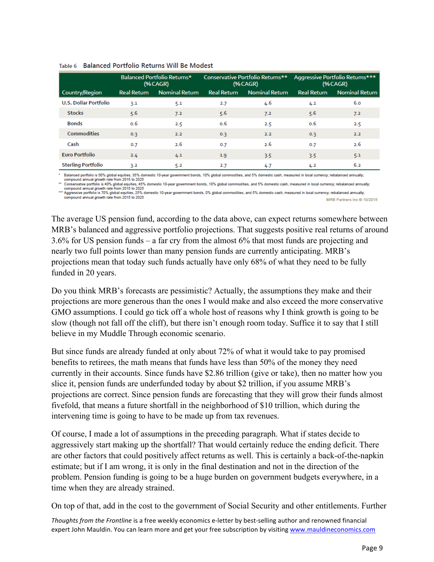|                              | Balanced Portfolio Returns*<br>$(%\triangleGR)$ |                       | Conservative Portfolio Returns**<br>$% \angle (AGR)$ |                       | Aggressive Portfolio Returns***<br>(%CAGR) |                       |
|------------------------------|-------------------------------------------------|-----------------------|------------------------------------------------------|-----------------------|--------------------------------------------|-----------------------|
| Country/Region               | <b>Real Return</b>                              | <b>Nominal Return</b> | <b>Real Return</b>                                   | <b>Nominal Return</b> | <b>Real Return</b>                         | <b>Nominal Return</b> |
| <b>U.S. Dollar Portfolio</b> | 3.1                                             | 5.1                   | 2.7                                                  | 4.6                   | 4.1                                        | 6.0                   |
| <b>Stocks</b>                | 5.6                                             | 7.2                   | 5.6                                                  | 7.2                   | 5.6                                        | 7.2                   |
| <b>Bonds</b>                 | 0.6                                             | 2.5                   | 0.6                                                  | 2.5                   | 0.6                                        | 2.5                   |
| Commodities                  | 0.3                                             | 2.2                   | 0.3                                                  | 2.2                   | 0.3                                        | 2.2                   |
| Cash                         | 0.7                                             | 2.6                   | 0.7                                                  | 2.6                   | 0.7                                        | 2.6                   |
| <b>Euro Portfolio</b>        | 2.4                                             | 4.1                   | 1.9                                                  | 3.5                   | 3.5                                        | 5.1                   |
| <b>Sterling Portfolio</b>    | 3.2                                             | 5.2                   | 2.7                                                  | 4.7                   | 4.2                                        | 6.2                   |

### Table 6 Balanced Portfolio Returns Will Be Modest

Balanced portfolio is 50% global equities; 35% domestic 10-year government bonds, 10% global commodities, and 5% domestic cash, measured in local currency; rebalanced annually;

compound annual growth rate from 2015 to 2025.<br>"Conservative portfolio is 40% global equities, 45% domestic 10-year government bonds, 10% global commodities, and 5% domestic cash, measured in local currency; rebalanced ann

compound annual growth rate from 2015 to 2025<br>In Aggressive portfolio is 70% global equities, 25% domestic 10-year government bonds, 0% global commodities, and 5% domestic cash, measured in local currency; rebalanced annua compound annual growth rate from 2015 to 2025 MRB Partners Inc @ 10/2015

The average US pension fund, according to the data above, can expect returns somewhere between MRB's balanced and aggressive portfolio projections. That suggests positive real returns of around 3.6% for US pension funds – a far cry from the almost 6% that most funds are projecting and nearly two full points lower than many pension funds are currently anticipating. MRB's projections mean that today such funds actually have only 68% of what they need to be fully funded in 20 years.

Do you think MRB's forecasts are pessimistic? Actually, the assumptions they make and their projections are more generous than the ones I would make and also exceed the more conservative GMO assumptions. I could go tick off a whole host of reasons why I think growth is going to be slow (though not fall off the cliff), but there isn't enough room today. Suffice it to say that I still believe in my Muddle Through economic scenario.

But since funds are already funded at only about 72% of what it would take to pay promised benefits to retirees, the math means that funds have less than 50% of the money they need currently in their accounts. Since funds have \$2.86 trillion (give or take), then no matter how you slice it, pension funds are underfunded today by about \$2 trillion, if you assume MRB's projections are correct. Since pension funds are forecasting that they will grow their funds almost fivefold, that means a future shortfall in the neighborhood of \$10 trillion, which during the intervening time is going to have to be made up from tax revenues.

Of course, I made a lot of assumptions in the preceding paragraph. What if states decide to aggressively start making up the shortfall? That would certainly reduce the ending deficit. There are other factors that could positively affect returns as well. This is certainly a back-of-the-napkin estimate; but if I am wrong, it is only in the final destination and not in the direction of the problem. Pension funding is going to be a huge burden on government budgets everywhere, in a time when they are already strained.

On top of that, add in the cost to the government of Social Security and other entitlements. Further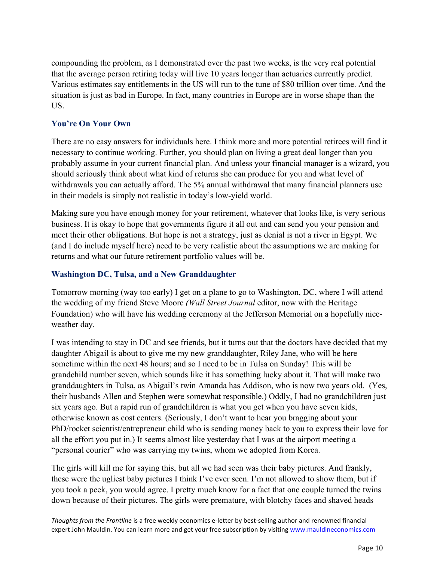compounding the problem, as I demonstrated over the past two weeks, is the very real potential that the average person retiring today will live 10 years longer than actuaries currently predict. Various estimates say entitlements in the US will run to the tune of \$80 trillion over time. And the situation is just as bad in Europe. In fact, many countries in Europe are in worse shape than the US.

### **You're On Your Own**

There are no easy answers for individuals here. I think more and more potential retirees will find it necessary to continue working. Further, you should plan on living a great deal longer than you probably assume in your current financial plan. And unless your financial manager is a wizard, you should seriously think about what kind of returns she can produce for you and what level of withdrawals you can actually afford. The 5% annual withdrawal that many financial planners use in their models is simply not realistic in today's low-yield world.

Making sure you have enough money for your retirement, whatever that looks like, is very serious business. It is okay to hope that governments figure it all out and can send you your pension and meet their other obligations. But hope is not a strategy, just as denial is not a river in Egypt. We (and I do include myself here) need to be very realistic about the assumptions we are making for returns and what our future retirement portfolio values will be.

### **Washington DC, Tulsa, and a New Granddaughter**

Tomorrow morning (way too early) I get on a plane to go to Washington, DC, where I will attend the wedding of my friend Steve Moore *(Wall Street Journal* editor, now with the Heritage Foundation) who will have his wedding ceremony at the Jefferson Memorial on a hopefully niceweather day.

I was intending to stay in DC and see friends, but it turns out that the doctors have decided that my daughter Abigail is about to give me my new granddaughter, Riley Jane, who will be here sometime within the next 48 hours; and so I need to be in Tulsa on Sunday! This will be grandchild number seven, which sounds like it has something lucky about it. That will make two granddaughters in Tulsa, as Abigail's twin Amanda has Addison, who is now two years old. (Yes, their husbands Allen and Stephen were somewhat responsible.) Oddly, I had no grandchildren just six years ago. But a rapid run of grandchildren is what you get when you have seven kids, otherwise known as cost centers. (Seriously, I don't want to hear you bragging about your PhD/rocket scientist/entrepreneur child who is sending money back to you to express their love for all the effort you put in.) It seems almost like yesterday that I was at the airport meeting a "personal courier" who was carrying my twins, whom we adopted from Korea.

The girls will kill me for saying this, but all we had seen was their baby pictures. And frankly, these were the ugliest baby pictures I think I've ever seen. I'm not allowed to show them, but if you took a peek, you would agree. I pretty much know for a fact that one couple turned the twins down because of their pictures. The girls were premature, with blotchy faces and shaved heads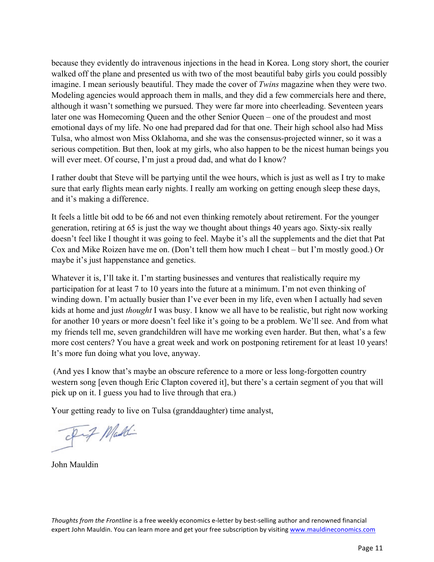because they evidently do intravenous injections in the head in Korea. Long story short, the courier walked off the plane and presented us with two of the most beautiful baby girls you could possibly imagine. I mean seriously beautiful. They made the cover of *Twins* magazine when they were two. Modeling agencies would approach them in malls, and they did a few commercials here and there, although it wasn't something we pursued. They were far more into cheerleading. Seventeen years later one was Homecoming Queen and the other Senior Queen – one of the proudest and most emotional days of my life. No one had prepared dad for that one. Their high school also had Miss Tulsa, who almost won Miss Oklahoma, and she was the consensus-projected winner, so it was a serious competition. But then, look at my girls, who also happen to be the nicest human beings you will ever meet. Of course, I'm just a proud dad, and what do I know?

I rather doubt that Steve will be partying until the wee hours, which is just as well as I try to make sure that early flights mean early nights. I really am working on getting enough sleep these days, and it's making a difference.

It feels a little bit odd to be 66 and not even thinking remotely about retirement. For the younger generation, retiring at 65 is just the way we thought about things 40 years ago. Sixty-six really doesn't feel like I thought it was going to feel. Maybe it's all the supplements and the diet that Pat Cox and Mike Roizen have me on. (Don't tell them how much I cheat – but I'm mostly good.) Or maybe it's just happenstance and genetics.

Whatever it is, I'll take it. I'm starting businesses and ventures that realistically require my participation for at least 7 to 10 years into the future at a minimum. I'm not even thinking of winding down. I'm actually busier than I've ever been in my life, even when I actually had seven kids at home and just *thought* I was busy. I know we all have to be realistic, but right now working for another 10 years or more doesn't feel like it's going to be a problem. We'll see. And from what my friends tell me, seven grandchildren will have me working even harder. But then, what's a few more cost centers? You have a great week and work on postponing retirement for at least 10 years! It's more fun doing what you love, anyway.

(And yes I know that's maybe an obscure reference to a more or less long-forgotten country western song [even though Eric Clapton covered it], but there's a certain segment of you that will pick up on it. I guess you had to live through that era.)

Your getting ready to live on Tulsa (granddaughter) time analyst,

- Dif Maddi

John Mauldin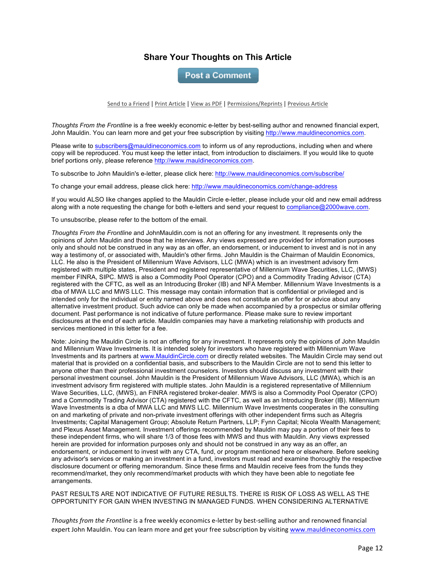### **Share Your Thoughts on This Article**

**Post a Comment** 

Send to a Friend | Print Article | View as PDF | Permissions/Reprints | Previous Article

*Thoughts From the Frontline* is a free weekly economic e-letter by best-selling author and renowned financial expert, John Mauldin. You can learn more and get your free subscription by visiting http://www.mauldineconomics.com.

Please write to subscribers@mauldineconomics.com to inform us of any reproductions, including when and where copy will be reproduced. You must keep the letter intact, from introduction to disclaimers. If you would like to quote brief portions only, please reference http://www.mauldineconomics.com.

To subscribe to John Mauldin's e-letter, please click here: http://www.mauldineconomics.com/subscribe/

To change your email address, please click here: http://www.mauldineconomics.com/change-address

If you would ALSO like changes applied to the Mauldin Circle e-letter, please include your old and new email address along with a note requesting the change for both e-letters and send your request to compliance@2000wave.com.

To unsubscribe, please refer to the bottom of the email.

*Thoughts From the Frontline* and JohnMauldin.com is not an offering for any investment. It represents only the opinions of John Mauldin and those that he interviews. Any views expressed are provided for information purposes only and should not be construed in any way as an offer, an endorsement, or inducement to invest and is not in any way a testimony of, or associated with, Mauldin's other firms. John Mauldin is the Chairman of Mauldin Economics, LLC. He also is the President of Millennium Wave Advisors, LLC (MWA) which is an investment advisory firm registered with multiple states, President and registered representative of Millennium Wave Securities, LLC, (MWS) member FINRA, SIPC. MWS is also a Commodity Pool Operator (CPO) and a Commodity Trading Advisor (CTA) registered with the CFTC, as well as an Introducing Broker (IB) and NFA Member. Millennium Wave Investments is a dba of MWA LLC and MWS LLC. This message may contain information that is confidential or privileged and is intended only for the individual or entity named above and does not constitute an offer for or advice about any alternative investment product. Such advice can only be made when accompanied by a prospectus or similar offering document. Past performance is not indicative of future performance. Please make sure to review important disclosures at the end of each article. Mauldin companies may have a marketing relationship with products and services mentioned in this letter for a fee.

Note: Joining the Mauldin Circle is not an offering for any investment. It represents only the opinions of John Mauldin and Millennium Wave Investments. It is intended solely for investors who have registered with Millennium Wave Investments and its partners at www.MauldinCircle.com or directly related websites. The Mauldin Circle may send out material that is provided on a confidential basis, and subscribers to the Mauldin Circle are not to send this letter to anyone other than their professional investment counselors. Investors should discuss any investment with their personal investment counsel. John Mauldin is the President of Millennium Wave Advisors, LLC (MWA), which is an investment advisory firm registered with multiple states. John Mauldin is a registered representative of Millennium Wave Securities, LLC, (MWS), an FINRA registered broker-dealer. MWS is also a Commodity Pool Operator (CPO) and a Commodity Trading Advisor (CTA) registered with the CFTC, as well as an Introducing Broker (IB). Millennium Wave Investments is a dba of MWA LLC and MWS LLC. Millennium Wave Investments cooperates in the consulting on and marketing of private and non-private investment offerings with other independent firms such as Altegris Investments; Capital Management Group; Absolute Return Partners, LLP; Fynn Capital; Nicola Wealth Management; and Plexus Asset Management. Investment offerings recommended by Mauldin may pay a portion of their fees to these independent firms, who will share 1/3 of those fees with MWS and thus with Mauldin. Any views expressed herein are provided for information purposes only and should not be construed in any way as an offer, an endorsement, or inducement to invest with any CTA, fund, or program mentioned here or elsewhere. Before seeking any advisor's services or making an investment in a fund, investors must read and examine thoroughly the respective disclosure document or offering memorandum. Since these firms and Mauldin receive fees from the funds they recommend/market, they only recommend/market products with which they have been able to negotiate fee arrangements.

PAST RESULTS ARE NOT INDICATIVE OF FUTURE RESULTS. THERE IS RISK OF LOSS AS WELL AS THE OPPORTUNITY FOR GAIN WHEN INVESTING IN MANAGED FUNDS. WHEN CONSIDERING ALTERNATIVE